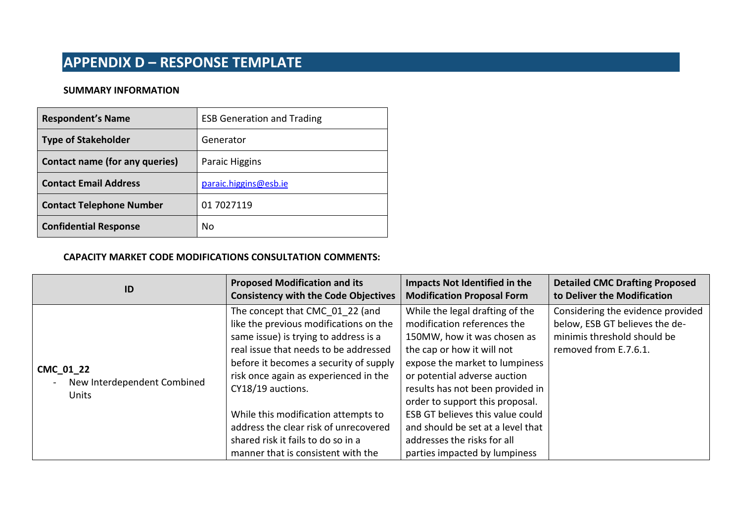### **SUMMARY INFORMATION**

| <b>Respondent's Name</b>        | <b>ESB Generation and Trading</b> |
|---------------------------------|-----------------------------------|
| <b>Type of Stakeholder</b>      | Generator                         |
| Contact name (for any queries)  | Paraic Higgins                    |
| <b>Contact Email Address</b>    | paraic.higgins@esb.ie             |
| <b>Contact Telephone Number</b> | 01 7027119                        |
| <b>Confidential Response</b>    | No                                |

#### **CAPACITY MARKET CODE MODIFICATIONS CONSULTATION COMMENTS:**

| ID                                                                 | <b>Proposed Modification and its</b>                                                                                                                                                                                                                                                                                                                                                                                            | <b>Impacts Not Identified in the</b>                                                                                                                                                                                                                                                                                                                                                                          | <b>Detailed CMC Drafting Proposed</b>                                                                                       |
|--------------------------------------------------------------------|---------------------------------------------------------------------------------------------------------------------------------------------------------------------------------------------------------------------------------------------------------------------------------------------------------------------------------------------------------------------------------------------------------------------------------|---------------------------------------------------------------------------------------------------------------------------------------------------------------------------------------------------------------------------------------------------------------------------------------------------------------------------------------------------------------------------------------------------------------|-----------------------------------------------------------------------------------------------------------------------------|
|                                                                    | <b>Consistency with the Code Objectives</b>                                                                                                                                                                                                                                                                                                                                                                                     | <b>Modification Proposal Form</b>                                                                                                                                                                                                                                                                                                                                                                             | to Deliver the Modification                                                                                                 |
| CMC 01 22<br>New Interdependent Combined<br>$\sim$<br><b>Units</b> | The concept that CMC 01 22 (and<br>like the previous modifications on the<br>same issue) is trying to address is a<br>real issue that needs to be addressed<br>before it becomes a security of supply<br>risk once again as experienced in the<br>CY18/19 auctions.<br>While this modification attempts to<br>address the clear risk of unrecovered<br>shared risk it fails to do so in a<br>manner that is consistent with the | While the legal drafting of the<br>modification references the<br>150MW, how it was chosen as<br>the cap or how it will not<br>expose the market to lumpiness<br>or potential adverse auction<br>results has not been provided in<br>order to support this proposal.<br>ESB GT believes this value could<br>and should be set at a level that<br>addresses the risks for all<br>parties impacted by lumpiness | Considering the evidence provided<br>below, ESB GT believes the de-<br>minimis threshold should be<br>removed from E.7.6.1. |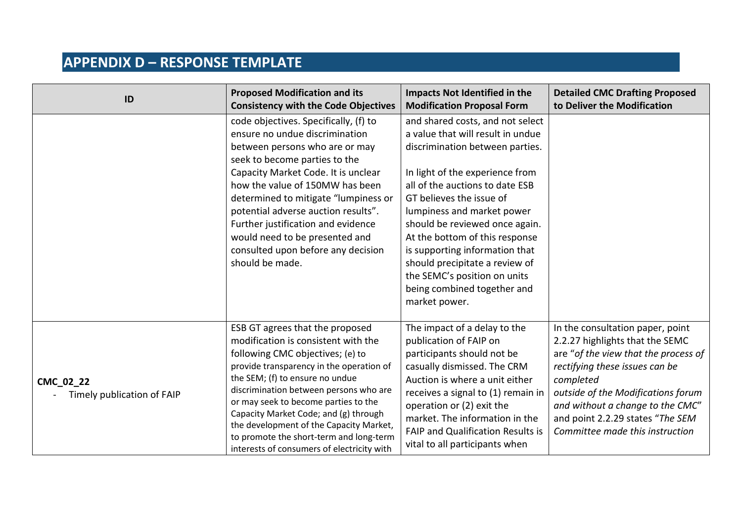| ID                                      | <b>Proposed Modification and its</b><br><b>Consistency with the Code Objectives</b>                                                                                                                                                                                                                                                                                                                                                                      | <b>Impacts Not Identified in the</b><br><b>Modification Proposal Form</b>                                                                                                                                                                                                                                                                                                                                                                                        | <b>Detailed CMC Drafting Proposed</b><br>to Deliver the Modification                                                                                                                                                                                                                                        |
|-----------------------------------------|----------------------------------------------------------------------------------------------------------------------------------------------------------------------------------------------------------------------------------------------------------------------------------------------------------------------------------------------------------------------------------------------------------------------------------------------------------|------------------------------------------------------------------------------------------------------------------------------------------------------------------------------------------------------------------------------------------------------------------------------------------------------------------------------------------------------------------------------------------------------------------------------------------------------------------|-------------------------------------------------------------------------------------------------------------------------------------------------------------------------------------------------------------------------------------------------------------------------------------------------------------|
|                                         | code objectives. Specifically, (f) to<br>ensure no undue discrimination<br>between persons who are or may<br>seek to become parties to the<br>Capacity Market Code. It is unclear<br>how the value of 150MW has been<br>determined to mitigate "lumpiness or<br>potential adverse auction results".<br>Further justification and evidence<br>would need to be presented and<br>consulted upon before any decision<br>should be made.                     | and shared costs, and not select<br>a value that will result in undue<br>discrimination between parties.<br>In light of the experience from<br>all of the auctions to date ESB<br>GT believes the issue of<br>lumpiness and market power<br>should be reviewed once again.<br>At the bottom of this response<br>is supporting information that<br>should precipitate a review of<br>the SEMC's position on units<br>being combined together and<br>market power. |                                                                                                                                                                                                                                                                                                             |
| CMC_02_22<br>Timely publication of FAIP | ESB GT agrees that the proposed<br>modification is consistent with the<br>following CMC objectives; (e) to<br>provide transparency in the operation of<br>the SEM; (f) to ensure no undue<br>discrimination between persons who are<br>or may seek to become parties to the<br>Capacity Market Code; and (g) through<br>the development of the Capacity Market,<br>to promote the short-term and long-term<br>interests of consumers of electricity with | The impact of a delay to the<br>publication of FAIP on<br>participants should not be<br>casually dismissed. The CRM<br>Auction is where a unit either<br>receives a signal to (1) remain in<br>operation or (2) exit the<br>market. The information in the<br>FAIP and Qualification Results is<br>vital to all participants when                                                                                                                                | In the consultation paper, point<br>2.2.27 highlights that the SEMC<br>are "of the view that the process of<br>rectifying these issues can be<br>completed<br>outside of the Modifications forum<br>and without a change to the CMC"<br>and point 2.2.29 states "The SEM<br>Committee made this instruction |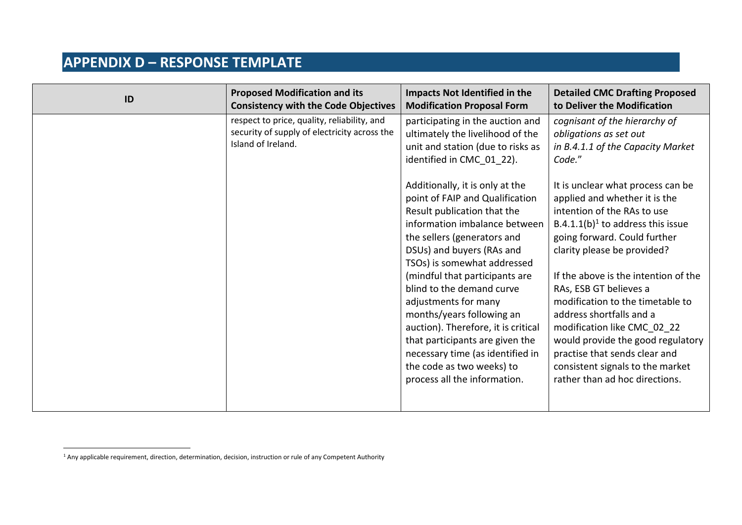| ID | <b>Proposed Modification and its</b><br><b>Consistency with the Code Objectives</b>                               | Impacts Not Identified in the<br><b>Modification Proposal Form</b>                                                                                                                                                                                                                                                                                                                                                                                                                                                                                                                                                                                                     | <b>Detailed CMC Drafting Proposed</b><br>to Deliver the Modification                                                                                                                                                                                                                                                                                                                                                                                                                                                                                                                                                                     |
|----|-------------------------------------------------------------------------------------------------------------------|------------------------------------------------------------------------------------------------------------------------------------------------------------------------------------------------------------------------------------------------------------------------------------------------------------------------------------------------------------------------------------------------------------------------------------------------------------------------------------------------------------------------------------------------------------------------------------------------------------------------------------------------------------------------|------------------------------------------------------------------------------------------------------------------------------------------------------------------------------------------------------------------------------------------------------------------------------------------------------------------------------------------------------------------------------------------------------------------------------------------------------------------------------------------------------------------------------------------------------------------------------------------------------------------------------------------|
|    | respect to price, quality, reliability, and<br>security of supply of electricity across the<br>Island of Ireland. | participating in the auction and<br>ultimately the livelihood of the<br>unit and station (due to risks as<br>identified in CMC_01_22).<br>Additionally, it is only at the<br>point of FAIP and Qualification<br>Result publication that the<br>information imbalance between<br>the sellers (generators and<br>DSUs) and buyers (RAs and<br>TSOs) is somewhat addressed<br>(mindful that participants are<br>blind to the demand curve<br>adjustments for many<br>months/years following an<br>auction). Therefore, it is critical<br>that participants are given the<br>necessary time (as identified in<br>the code as two weeks) to<br>process all the information. | cognisant of the hierarchy of<br>obligations as set out<br>in B.4.1.1 of the Capacity Market<br>Code."<br>It is unclear what process can be<br>applied and whether it is the<br>intention of the RAs to use<br>B.4.1.1(b) <sup>1</sup> to address this issue<br>going forward. Could further<br>clarity please be provided?<br>If the above is the intention of the<br>RAs, ESB GT believes a<br>modification to the timetable to<br>address shortfalls and a<br>modification like CMC 02 22<br>would provide the good regulatory<br>practise that sends clear and<br>consistent signals to the market<br>rather than ad hoc directions. |
|    |                                                                                                                   |                                                                                                                                                                                                                                                                                                                                                                                                                                                                                                                                                                                                                                                                        |                                                                                                                                                                                                                                                                                                                                                                                                                                                                                                                                                                                                                                          |

 $1$  Any applicable requirement, direction, determination, decision, instruction or rule of any Competent Authority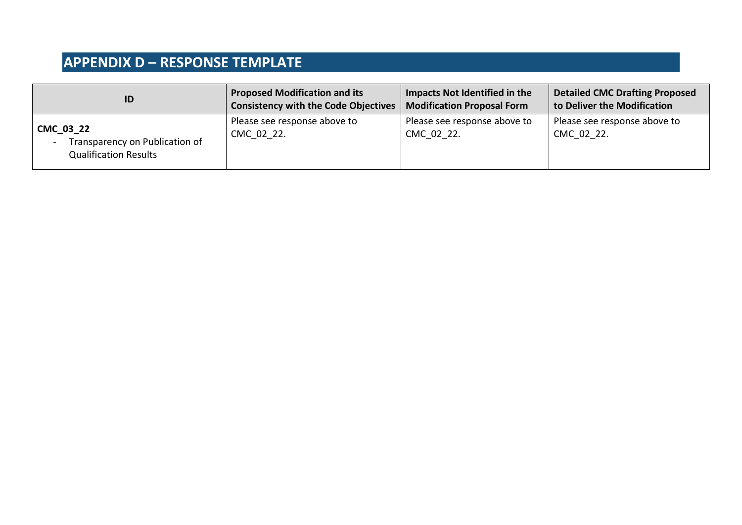| ID                                                                                                      | <b>Proposed Modification and its</b>        | Impacts Not Identified in the              | <b>Detailed CMC Drafting Proposed</b>      |
|---------------------------------------------------------------------------------------------------------|---------------------------------------------|--------------------------------------------|--------------------------------------------|
|                                                                                                         | <b>Consistency with the Code Objectives</b> | <b>Modification Proposal Form</b>          | to Deliver the Modification                |
| CMC_03_22<br>Transparency on Publication of<br>$\overline{\phantom{a}}$<br><b>Qualification Results</b> | Please see response above to<br>CMC 02 22.  | Please see response above to<br>CMC 02 22. | Please see response above to<br>CMC 02 22. |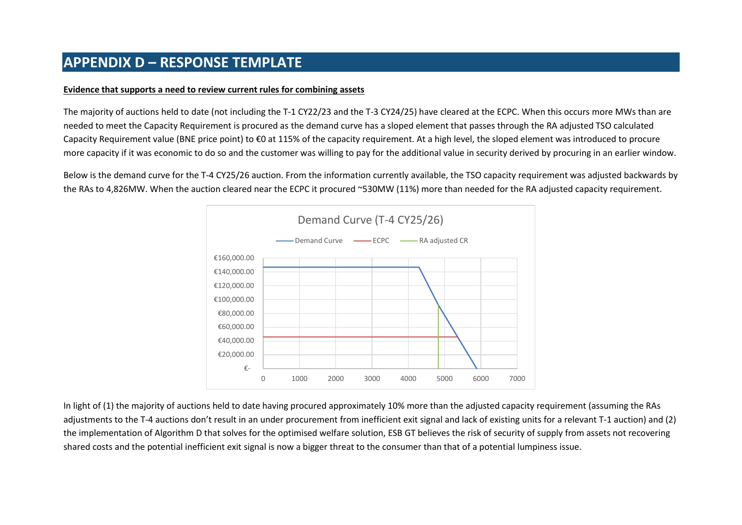#### **Evidence that supports a need to review current rules for combining assets**

The majority of auctions held to date (not including the T-1 CY22/23 and the T-3 CY24/25) have cleared at the ECPC. When this occurs more MWs than are needed to meet the Capacity Requirement is procured as the demand curve has a sloped element that passes through the RA adjusted TSO calculated Capacity Requirement value (BNE price point) to €0 at 115% of the capacity requirement. At a high level, the sloped element was introduced to procure more capacity if it was economic to do so and the customer was willing to pay for the additional value in security derived by procuring in an earlier window.

Below is the demand curve for the T-4 CY25/26 auction. From the information currently available, the TSO capacity requirement was adjusted backwards by the RAs to 4,826MW. When the auction cleared near the ECPC it procured ~530MW (11%) more than needed for the RA adjusted capacity requirement.



In light of (1) the majority of auctions held to date having procured approximately 10% more than the adjusted capacity requirement (assuming the RAs adjustments to the T-4 auctions don't result in an under procurement from inefficient exit signal and lack of existing units for a relevant T-1 auction) and (2) the implementation of Algorithm D that solves for the optimised welfare solution, ESB GT believes the risk of security of supply from assets not recovering shared costs and the potential inefficient exit signal is now a bigger threat to the consumer than that of a potential lumpiness issue.